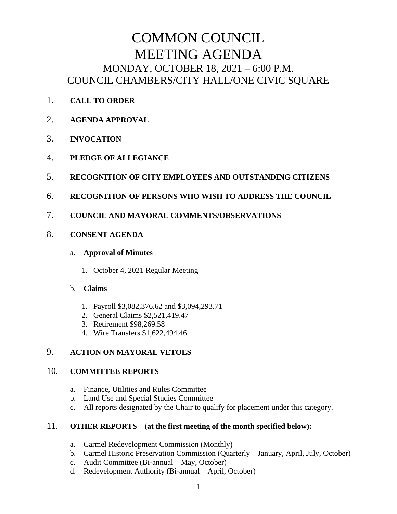# COMMON COUNCIL MEETING AGENDA MONDAY, OCTOBER 18, 2021 – 6:00 P.M. COUNCIL CHAMBERS/CITY HALL/ONE CIVIC SQUARE

- 1. **CALL TO ORDER**
- 2. **AGENDA APPROVAL**
- 3. **INVOCATION**
- 4. **PLEDGE OF ALLEGIANCE**
- 5. **RECOGNITION OF CITY EMPLOYEES AND OUTSTANDING CITIZENS**
- 6. **RECOGNITION OF PERSONS WHO WISH TO ADDRESS THE COUNCIL**
- 7. **COUNCIL AND MAYORAL COMMENTS/OBSERVATIONS**

## 8. **CONSENT AGENDA**

#### a. **Approval of Minutes**

1. October 4, 2021 Regular Meeting

## b. **Claims**

- 1. Payroll \$3,082,376.62 and \$3,094,293.71
- 2. General Claims \$2,521,419.47
- 3. Retirement \$98,269.58
- 4. Wire Transfers \$1,622,494.46

## 9. **ACTION ON MAYORAL VETOES**

## 10. **COMMITTEE REPORTS**

- a. Finance, Utilities and Rules Committee
- b. Land Use and Special Studies Committee
- c. All reports designated by the Chair to qualify for placement under this category.

## 11. **OTHER REPORTS – (at the first meeting of the month specified below):**

- a. Carmel Redevelopment Commission (Monthly)
- b. Carmel Historic Preservation Commission (Quarterly January, April, July, October)
- c. Audit Committee (Bi-annual May, October)
- d. Redevelopment Authority (Bi-annual April, October)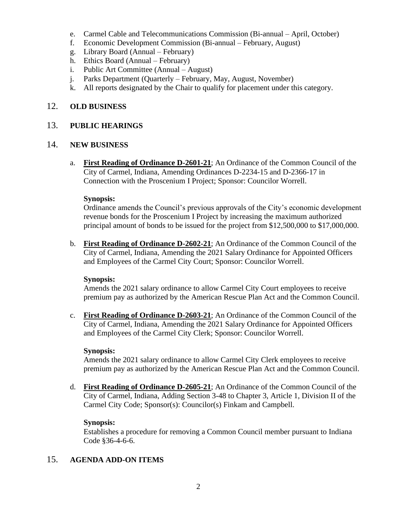- e. Carmel Cable and Telecommunications Commission (Bi-annual April, October)
- f. Economic Development Commission (Bi-annual February, August)
- g. Library Board (Annual February)
- h. Ethics Board (Annual February)
- i. Public Art Committee (Annual August)
- j. Parks Department (Quarterly February, May, August, November)
- k. All reports designated by the Chair to qualify for placement under this category.

## 12. **OLD BUSINESS**

## 13. **PUBLIC HEARINGS**

## 14. **NEW BUSINESS**

a. **First Reading of Ordinance D-2601-21**; An Ordinance of the Common Council of the City of Carmel, Indiana, Amending Ordinances D-2234-15 and D-2366-17 in Connection with the Proscenium I Project; Sponsor: Councilor Worrell.

#### **Synopsis:**

Ordinance amends the Council's previous approvals of the City's economic development revenue bonds for the Proscenium I Project by increasing the maximum authorized principal amount of bonds to be issued for the project from \$12,500,000 to \$17,000,000.

b. **First Reading of Ordinance D-2602-21**; An Ordinance of the Common Council of the City of Carmel, Indiana, Amending the 2021 Salary Ordinance for Appointed Officers and Employees of the Carmel City Court; Sponsor: Councilor Worrell.

## **Synopsis:**

Amends the 2021 salary ordinance to allow Carmel City Court employees to receive premium pay as authorized by the American Rescue Plan Act and the Common Council.

c. **First Reading of Ordinance D-2603-21**; An Ordinance of the Common Council of the City of Carmel, Indiana, Amending the 2021 Salary Ordinance for Appointed Officers and Employees of the Carmel City Clerk; Sponsor: Councilor Worrell.

## **Synopsis:**

Amends the 2021 salary ordinance to allow Carmel City Clerk employees to receive premium pay as authorized by the American Rescue Plan Act and the Common Council.

d. **First Reading of Ordinance D-2605-21**; An Ordinance of the Common Council of the City of Carmel, Indiana, Adding Section 3-48 to Chapter 3, Article 1, Division II of the Carmel City Code; Sponsor(s): Councilor(s) Finkam and Campbell.

## **Synopsis:**

Establishes a procedure for removing a Common Council member pursuant to Indiana Code §36-4-6-6.

## 15. **AGENDA ADD-ON ITEMS**